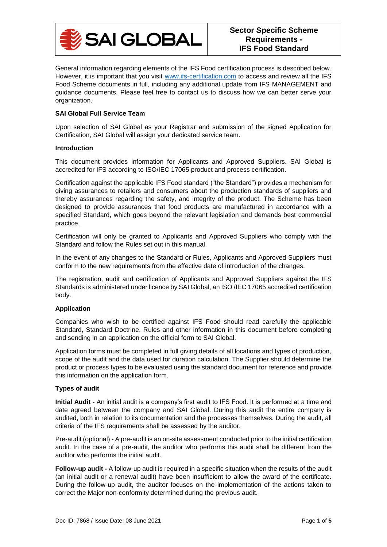

General information regarding elements of the IFS Food certification process is described below. However, it is important that you visit [www.ifs-certification.com](http://www.ifs-certification.com/) to access and review all the IFS Food Scheme documents in full, including any additional update from IFS MANAGEMENT and guidance documents. Please feel free to contact us to discuss how we can better serve your organization.

## **SAI Global Full Service Team**

Upon selection of SAI Global as your Registrar and submission of the signed Application for Certification, SAI Global will assign your dedicated service team.

#### **Introduction**

This document provides information for Applicants and Approved Suppliers. SAI Global is accredited for IFS according to ISO/IEC 17065 product and process certification.

Certification against the applicable IFS Food standard ("the Standard") provides a mechanism for giving assurances to retailers and consumers about the production standards of suppliers and thereby assurances regarding the safety, and integrity of the product. The Scheme has been designed to provide assurances that food products are manufactured in accordance with a specified Standard, which goes beyond the relevant legislation and demands best commercial practice.

Certification will only be granted to Applicants and Approved Suppliers who comply with the Standard and follow the Rules set out in this manual.

In the event of any changes to the Standard or Rules, Applicants and Approved Suppliers must conform to the new requirements from the effective date of introduction of the changes.

The registration, audit and certification of Applicants and Approved Suppliers against the IFS Standards is administered under licence by SAI Global, an ISO /IEC 17065 accredited certification body.

#### **Application**

Companies who wish to be certified against IFS Food should read carefully the applicable Standard, Standard Doctrine, Rules and other information in this document before completing and sending in an application on the official form to SAI Global.

Application forms must be completed in full giving details of all locations and types of production, scope of the audit and the data used for duration calculation. The Supplier should determine the product or process types to be evaluated using the standard document for reference and provide this information on the application form.

#### **Types of audit**

**Initial Audit** - An initial audit is a company's first audit to IFS Food. It is performed at a time and date agreed between the company and SAI Global. During this audit the entire company is audited, both in relation to its documentation and the processes themselves. During the audit, all criteria of the IFS requirements shall be assessed by the auditor.

Pre-audit (optional) - A pre-audit is an on-site assessment conducted prior to the initial certification audit. In the case of a pre-audit, the auditor who performs this audit shall be different from the auditor who performs the initial audit.

**Follow-up audit -** A follow-up audit is required in a specific situation when the results of the audit (an initial audit or a renewal audit) have been insufficient to allow the award of the certificate. During the follow-up audit, the auditor focuses on the implementation of the actions taken to correct the Major non-conformity determined during the previous audit.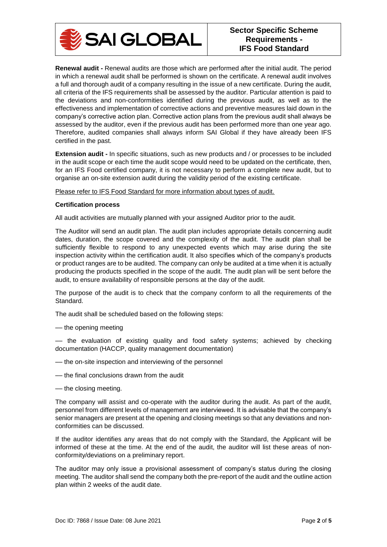

**Renewal audit -** Renewal audits are those which are performed after the initial audit. The period in which a renewal audit shall be performed is shown on the certificate. A renewal audit involves a full and thorough audit of a company resulting in the issue of a new certificate. During the audit, all criteria of the IFS requirements shall be assessed by the auditor. Particular attention is paid to the deviations and non-conformities identified during the previous audit, as well as to the effectiveness and implementation of corrective actions and preventive measures laid down in the company's corrective action plan. Corrective action plans from the previous audit shall always be assessed by the auditor, even if the previous audit has been performed more than one year ago. Therefore, audited companies shall always inform SAI Global if they have already been IFS certified in the past.

**Extension audit -** In specific situations, such as new products and / or processes to be included in the audit scope or each time the audit scope would need to be updated on the certificate, then, for an IFS Food certified company, it is not necessary to perform a complete new audit, but to organise an on-site extension audit during the validity period of the existing certificate.

Please refer to IFS Food Standard for more information about types of audit.

## **Certification process**

All audit activities are mutually planned with your assigned Auditor prior to the audit.

The Auditor will send an audit plan. The audit plan includes appropriate details concerning audit dates, duration, the scope covered and the complexity of the audit. The audit plan shall be sufficiently flexible to respond to any unexpected events which may arise during the site inspection activity within the certification audit. It also specifies which of the company's products or product ranges are to be audited. The company can only be audited at a time when it is actually producing the products specified in the scope of the audit. The audit plan will be sent before the audit, to ensure availability of responsible persons at the day of the audit.

The purpose of the audit is to check that the company conform to all the requirements of the Standard.

The audit shall be scheduled based on the following steps:

–– the opening meeting

–– the evaluation of existing quality and food safety systems; achieved by checking documentation (HACCP, quality management documentation)

- –– the on-site inspection and interviewing of the personnel
- –– the final conclusions drawn from the audit
- –– the closing meeting.

The company will assist and co-operate with the auditor during the audit. As part of the audit, personnel from different levels of management are interviewed. It is advisable that the company's senior managers are present at the opening and closing meetings so that any deviations and nonconformities can be discussed.

If the auditor identifies any areas that do not comply with the Standard, the Applicant will be informed of these at the time. At the end of the audit, the auditor will list these areas of nonconformity/deviations on a preliminary report.

The auditor may only issue a provisional assessment of company's status during the closing meeting. The auditor shall send the company both the pre-report of the audit and the outline action plan within 2 weeks of the audit date.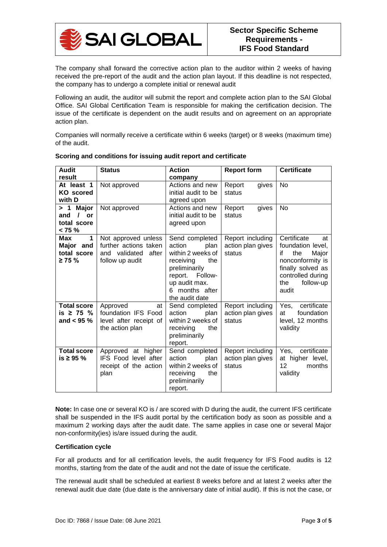

The company shall forward the corrective action plan to the auditor within 2 weeks of having received the pre-report of the audit and the action plan layout. If this deadline is not respected, the company has to undergo a complete initial or renewal audit

Following an audit, the auditor will submit the report and complete action plan to the SAI Global Office. SAI Global Certification Team is responsible for making the certification decision. The issue of the certificate is dependent on the audit results and on agreement on an appropriate action plan.

Companies will normally receive a certificate within 6 weeks (target) or 8 weeks (maximum time) of the audit.

| <b>Audit</b>                                                     | <b>Status</b>                                                                             | <b>Action</b>                                                                                                                                                         | <b>Report form</b>                              | <b>Certificate</b>                                                                                                                                      |
|------------------------------------------------------------------|-------------------------------------------------------------------------------------------|-----------------------------------------------------------------------------------------------------------------------------------------------------------------------|-------------------------------------------------|---------------------------------------------------------------------------------------------------------------------------------------------------------|
| result                                                           |                                                                                           | company                                                                                                                                                               |                                                 |                                                                                                                                                         |
| At least 1<br><b>KO</b> scored<br>with D                         | Not approved                                                                              | Actions and new<br>initial audit to be<br>agreed upon                                                                                                                 | Report<br>gives<br>status                       | No                                                                                                                                                      |
| Major<br>>1<br>$\prime$<br>or<br>and<br>total score<br>$< 75 \%$ | Not approved                                                                              | Actions and new<br>initial audit to be<br>agreed upon                                                                                                                 | gives<br>Report<br>status                       | <b>No</b>                                                                                                                                               |
| $\mathbf{1}$<br>Max<br>Major and<br>total score<br>≥ 75 %        | Not approved unless<br>further actions taken<br>and validated<br>after<br>follow up audit | Send completed<br>action<br>plan<br>within 2 weeks of<br>receiving<br>the<br>preliminarily<br>report.<br>Follow-<br>up audit max.<br>6 months after<br>the audit date | Report including<br>action plan gives<br>status | Certificate<br>at<br>foundation level,<br>if<br>the<br>Major<br>nonconformity is<br>finally solved as<br>controlled during<br>follow-up<br>the<br>audit |
| <b>Total score</b><br>is $\geq 75$ %<br>and $<$ 95 $\%$          | Approved<br>at<br>foundation IFS Food<br>level after receipt of<br>the action plan        | Send completed<br>action<br>plan<br>within 2 weeks of<br>receiving<br>the<br>preliminarily<br>report.                                                                 | Report including<br>action plan gives<br>status | certificate<br>Yes,<br>foundation<br>at<br>level, 12 months<br>validity                                                                                 |
| <b>Total score</b><br>is $\geq 95$ %                             | Approved at higher<br><b>IFS Food level after</b><br>receipt of the action<br>plan        | Send completed<br>action<br>plan<br>within 2 weeks of<br>the<br>receiving<br>preliminarily<br>report.                                                                 | Report including<br>action plan gives<br>status | Yes,<br>certificate<br>at higher level,<br>12<br>months<br>validity                                                                                     |

# **Scoring and conditions for issuing audit report and certificate**

**Note:** In case one or several KO is / are scored with D during the audit, the current IFS certificate shall be suspended in the IFS audit portal by the certification body as soon as possible and a maximum 2 working days after the audit date. The same applies in case one or several Major non-conformity(ies) is/are issued during the audit.

# **Certification cycle**

For all products and for all certification levels, the audit frequency for IFS Food audits is 12 months, starting from the date of the audit and not the date of issue the certificate.

The renewal audit shall be scheduled at earliest 8 weeks before and at latest 2 weeks after the renewal audit due date (due date is the anniversary date of initial audit). If this is not the case, or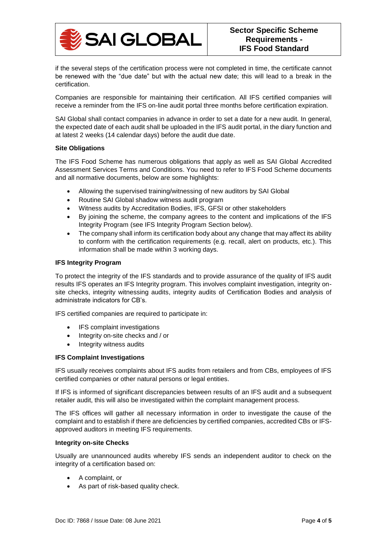

if the several steps of the certification process were not completed in time, the certificate cannot be renewed with the "due date" but with the actual new date; this will lead to a break in the certification.

Companies are responsible for maintaining their certification. All IFS certified companies will receive a reminder from the IFS on-line audit portal three months before certification expiration.

SAI Global shall contact companies in advance in order to set a date for a new audit. In general, the expected date of each audit shall be uploaded in the IFS audit portal, in the diary function and at latest 2 weeks (14 calendar days) before the audit due date.

## **Site Obligations**

The IFS Food Scheme has numerous obligations that apply as well as SAI Global Accredited Assessment Services Terms and Conditions. You need to refer to IFS Food Scheme documents and all normative documents, below are some highlights:

- Allowing the supervised training/witnessing of new auditors by SAI Global
- Routine SAI Global shadow witness audit program
- Witness audits by Accreditation Bodies, IFS, GFSI or other stakeholders
- By joining the scheme, the company agrees to the content and implications of the IFS Integrity Program (see IFS Integrity Program Section below).
- The company shall inform its certification body about any change that may affect its ability to conform with the certification requirements (e.g. recall, alert on products, etc.). This information shall be made within 3 working days.

#### **IFS Integrity Program**

To protect the integrity of the IFS standards and to provide assurance of the quality of IFS audit results IFS operates an IFS Integrity program. This involves complaint investigation, integrity onsite checks, integrity witnessing audits, integrity audits of Certification Bodies and analysis of administrate indicators for CB's.

IFS certified companies are required to participate in:

- IFS complaint investigations
- Integrity on-site checks and / or
- Integrity witness audits

# **IFS Complaint Investigations**

IFS usually receives complaints about IFS audits from retailers and from CBs, employees of IFS certified companies or other natural persons or legal entities.

If IFS is informed of significant discrepancies between results of an IFS audit and a subsequent retailer audit, this will also be investigated within the complaint management process.

The IFS offices will gather all necessary information in order to investigate the cause of the complaint and to establish if there are deficiencies by certified companies, accredited CBs or IFSapproved auditors in meeting IFS requirements.

#### **Integrity on-site Checks**

Usually are unannounced audits whereby IFS sends an independent auditor to check on the integrity of a certification based on:

- A complaint, or
- As part of risk-based quality check.